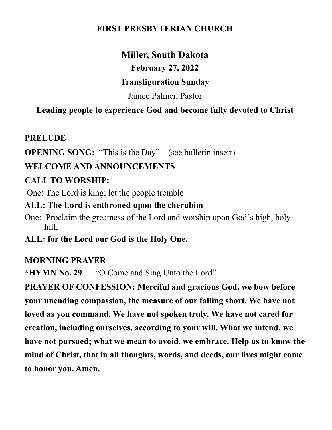#### **FIRST PRESBYTERIAN CHURCH**

# **Miller, South Dakota**

**February 27, 2022**

#### **Transfiguration Sunday**

Janice Palmer, Pastor

## **Leading people to experience God and become fully devoted to Christ**

#### **PRELUDE**

**OPENING SONG:** "This is the Day" (see bulletin insert)

## **WELCOME AND ANNOUNCEMENTS**

## **CALL TO WORSHIP:**

One: The Lord is king; let the people tremble

## **ALL: The Lord is enthroned upon the cherubim**

One: Proclaim the greatness of the Lord and worship upon God's high, holy hill,

**ALL: for the Lord our God is the Holy One.**

## **MORNING PRAYER**

**\*HYMN No. 29** "O Come and Sing Unto the Lord"

**PRAYER OF CONFESSION: Merciful and gracious God, we bow before your unending compassion, the measure of our falling short. We have not loved as you command. We have not spoken truly. We have not cared for creation, including ourselves, according to your will. What we intend, we have not pursued; what we mean to avoid, we embrace. Help us to know the mind of Christ, that in all thoughts, words, and deeds, our lives might come to honor you. Amen.**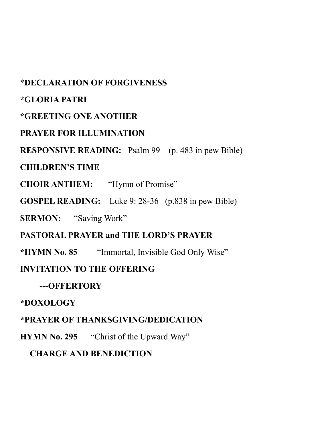#### \***DECLARATION OF FORGIVENESS**

#### **\*GLORIA PATRI**

#### **\*GREETING ONE ANOTHER**

#### **PRAYER FOR ILLUMINATION**

#### **RESPONSIVE READING:** Psalm 99 (p. 483 in pew Bible)

#### **CHILDREN'S TIME**

**CHOIR ANTHEM:** "Hymn of Promise"

**GOSPEL READING:** Luke 9: 28-36 (p.838 in pew Bible)

**SERMON:** "Saving Work"

#### **PASTORAL PRAYER and THE LORD'S PRAYER**

**\*HYMN No. 85** "Immortal, Invisible God Only Wise"

#### **INVITATION TO THE OFFERING**

## **---OFFERTORY**

#### **\*DOXOLOGY**

## **\*PRAYER OF THANKSGIVING/DEDICATION**

**HYMN No. 295** "Christ of the Upward Way"

## **CHARGE AND BENEDICTION**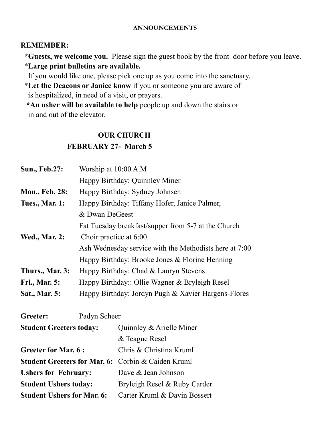#### **ANNOUNCEMENTS**

#### **REMEMBER:**

 **\*Guests, we welcome you.** Please sign the guest book by the front door before you leave. \***Large print bulletins are available.** 

If you would like one, please pick one up as you come into the sanctuary.

 \***Let the Deacons or Janice know** if you or someone you are aware of is hospitalized, in need of a visit, or prayers.

 **\*An usher will be available to help** people up and down the stairs or in and out of the elevator.

#### **OUR CHURCH**

#### **FEBRUARY 27- March 5**

| <b>Sun., Feb.27:</b>           | Worship at 10:00 A.M                                                                                                               |                                                     |  |
|--------------------------------|------------------------------------------------------------------------------------------------------------------------------------|-----------------------------------------------------|--|
|                                |                                                                                                                                    | Happy Birthday: Quinnley Miner                      |  |
| <b>Mon., Feb. 28:</b>          | Happy Birthday: Sydney Johnsen                                                                                                     |                                                     |  |
| <b>Tues., Mar. 1:</b>          | Happy Birthday: Tiffany Hofer, Janice Palmer,                                                                                      |                                                     |  |
|                                | & Dwan DeGeest                                                                                                                     |                                                     |  |
|                                |                                                                                                                                    | Fat Tuesday breakfast/supper from 5-7 at the Church |  |
| <b>Wed., Mar. 2:</b>           | Choir practice at 6:00<br>Ash Wednesday service with the Methodists here at 7:00<br>Happy Birthday: Brooke Jones & Florine Henning |                                                     |  |
|                                |                                                                                                                                    |                                                     |  |
|                                |                                                                                                                                    |                                                     |  |
| Thurs., Mar. 3:                | Happy Birthday: Chad & Lauryn Stevens                                                                                              |                                                     |  |
| <b>Fri., Mar. 5:</b>           | Happy Birthday:: Ollie Wagner & Bryleigh Resel                                                                                     |                                                     |  |
| <b>Sat., Mar. 5:</b>           | Happy Birthday: Jordyn Pugh & Xavier Hargens-Flores                                                                                |                                                     |  |
| Greeter:                       | Padyn Scheer                                                                                                                       |                                                     |  |
| <b>Student Greeters today:</b> |                                                                                                                                    | Quinnley & Arielle Miner                            |  |
|                                |                                                                                                                                    | & Teague Resel                                      |  |
| <b>Greeter for Mar. 6:</b>     |                                                                                                                                    | Chris & Christina Kruml                             |  |
|                                |                                                                                                                                    |                                                     |  |

- **Student Greeters for Mar. 6:** Corbin & Caiden Kruml **Ushers for February:** Dave & Jean Johnson
- **Student Ushers today:** Bryleigh Resel & Ruby Carder
- **Student Ushers for Mar. 6:** Carter Kruml & Davin Bossert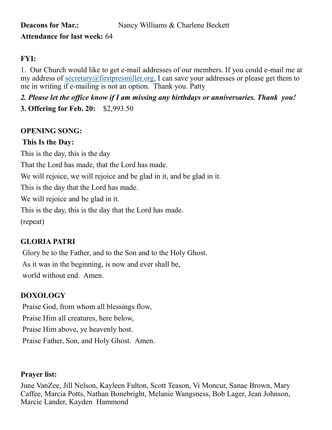# **Attendance for last week:** 64

#### **FYI:**

1. Our Church would like to get e-mail addresses of our members. If you could e-mail me at my address of [secretary@firstpresmiller.org,](mailto:secretary@firstpresmiller.org) I can save your addresses or please get them to me in writing if e-mailing is not an option. Thank you. Patty

*2. Please let the office know if I am missing any birthdays or anniversaries. Thank you!* **3. Offering for Feb. 20:** \$2,993.50

#### **OPENING SONG:**

#### **This Is the Day:**

This is the day, this is the day

That the Lord has made, that the Lord has made.

We will rejoice, we will rejoice and be glad in it, and be glad in it.

This is the day that the Lord has made.

We will rejoice and be glad in it.

This is the day, this is the day that the Lord has made.

(repeat)

#### **GLORIA PATRI**

Glory be to the Father, and to the Son and to the Holy Ghost. As it was in the beginning, is now and ever shall be, world without end. Amen.

#### **DOXOLOGY**

Praise God, from whom all blessings flow, Praise Him all creatures, here below, Praise Him above, ye heavenly host. Praise Father, Son, and Holy Ghost. Amen.

#### **Prayer list:**

June VanZee, Jill Nelson, Kayleen Fulton, Scott Teason, Vi Moncur, Sanae Brown, Mary Caffee, Marcia Potts, Nathan Bonebright, Melanie Wangsness, Bob Lager, Jean Johnson, Marcie Lander, Kayden Hammond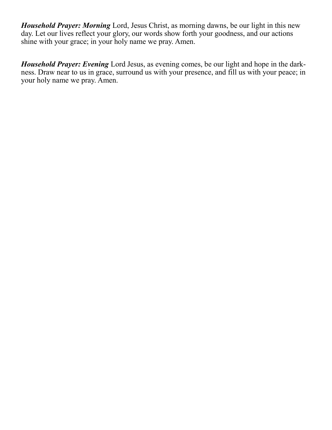*Household Prayer: Morning* Lord, Jesus Christ, as morning dawns, be our light in this new day. Let our lives reflect your glory, our words show forth your goodness, and our actions shine with your grace; in your holy name we pray. Amen.

*Household Prayer: Evening* Lord Jesus, as evening comes, be our light and hope in the darkness. Draw near to us in grace, surround us with your presence, and fill us with your peace; in your holy name we pray. Amen.